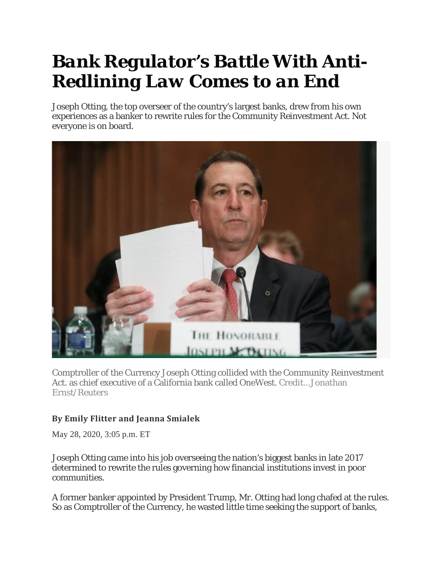## *Bank Regulator's Battle With Anti-Redlining Law Comes to an End*

Joseph Otting, the top overseer of the country's largest banks, drew from his own experiences as a banker to rewrite rules for the Community Reinvestment Act. Not everyone is on board.



Comptroller of the Currency Joseph Otting collided with the Community Reinvestment Act. as chief executive of a California bank called OneWest. Credit...Jonathan Ernst/Reuters

## **By Emily [Flitter](https://www.nytimes.com/by/emily-flitter) and Jeanna [Smialek](https://www.nytimes.com/by/jeanna-smialek)**

May 28, 2020, 3:05 p.m. ET

Joseph Otting came into his job overseeing the nation's biggest banks in late 2017 determined to rewrite the rules governing how financial institutions invest in poor communities.

A former banker appointed by President Trump, Mr. Otting had long chafed at the rules. So as Comptroller of the Currency, he wasted little time seeking the support of banks,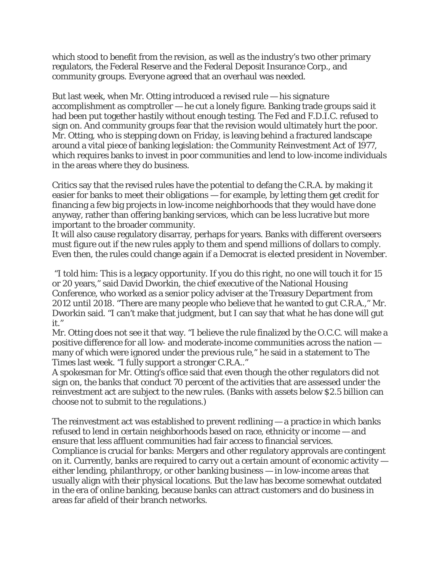which stood to benefit from the revision, as well as the industry's two other primary regulators, the Federal Reserve and the Federal Deposit Insurance Corp., and community groups. Everyone agreed that an overhaul was needed.

But last week, when Mr. Otting introduced a revised rule — his signature accomplishment as comptroller — he cut a lonely figure. Banking trade groups said it had been put together hastily without enough testing. The Fed and F.D.I.C. refused to sign on. And community groups fear that the revision would ultimately hurt the poor. Mr. Otting, who is stepping down on Friday, is leaving behind a fractured landscape around a vital piece of banking legislation: the Community Reinvestment Act of 1977, which requires banks to invest in poor communities and lend to low-income individuals in the areas where they do business.

Critics say that the revised rules have the potential to defang the C.R.A. by making it easier for banks to meet their obligations — for example, by letting them get credit for financing a few big projects in low-income neighborhoods that they would have done anyway, rather than offering banking services, which can be less lucrative but more important to the broader community.

It will also cause regulatory disarray, perhaps for years. Banks with different overseers must figure out if the new rules apply to them and spend millions of dollars to comply. Even then, the rules could change again if a Democrat is elected president in November.

"I told him: This is a legacy opportunity. If you do this right, no one will touch it for 15 or 20 years," said David Dworkin, the chief executive of the National Housing Conference, who worked as a senior policy adviser at the Treasury Department from 2012 until 2018. "There are many people who believe that he wanted to gut C.R.A.," Mr. Dworkin said. "I can't make that judgment, but I can say that what he has done will gut it."

Mr. Otting does not see it that way. "I believe the rule finalized by the O.C.C. will make a positive difference for all low- and moderate-income communities across the nation many of which were ignored under the previous rule," he said in a statement to The Times last week. "I fully support a stronger C.R.A.."

A spokesman for Mr. Otting's office said that even though the other regulators did not sign on, the banks that conduct 70 percent of the activities that are assessed under the reinvestment act are subject to the new rules. (Banks with assets below \$2.5 billion can choose not to submit to the regulations.)

The reinvestment act was established to prevent redlining — a practice in which banks refused to lend in certain neighborhoods based on race, ethnicity or income — and ensure that less affluent communities had fair access to financial services. Compliance is crucial for banks: Mergers and other regulatory approvals are contingent on it. Currently, banks are required to carry out a certain amount of economic activity either lending, philanthropy, or other banking business — in low-income areas that usually align with their physical locations. But the law has become somewhat outdated in the era of online banking, because banks can attract customers and do business in areas far afield of their branch networks.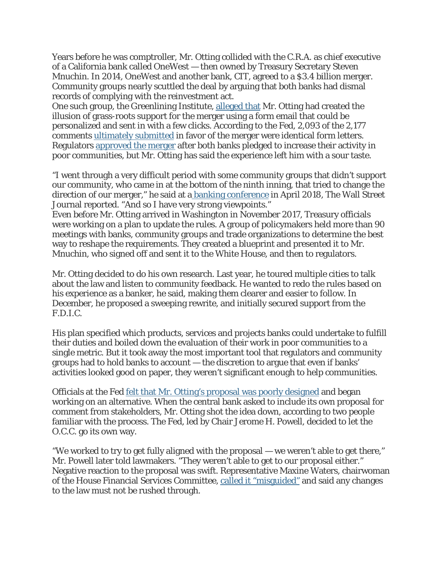Years before he was comptroller, Mr. Otting collided with the C.R.A. as chief executive of a California bank called OneWest — then owned by Treasury Secretary Steven Mnuchin. In 2014, OneWest and another bank, CIT, agreed to a \$3.4 billion merger. Community groups nearly scuttled the deal by arguing that both banks had dismal records of complying with the reinvestment act.

One such group, the Greenlining Institute, [alleged](https://www.fmcrc.org/integrity_public_particpation_letter.pdf) that Mr. Otting had created the illusion of grass-roots support for the merger using a form email that could be personalized and sent in with a few clicks. According to the Fed, 2,093 of the 2,177 comments [ultimately](https://www.federalreserve.gov/newsevents/pressreleases/files/orders20150721a1.pdf) submitted in favor of the merger were identical form letters. Regulators [approved](https://www.federalreserve.gov/newsevents/pressreleases/files/orders20150721a1.pdf) the merger after both banks pledged to increase their activity in poor communities, but Mr. Otting has said the experience left him with a sour taste.

"I went through a very difficult period with some community groups that didn't support our community, who came in at the bottom of the ninth inning, that tried to change the direction of our merger," he said at a banking [conference](https://www.wsj.com/articles/mnuchins-fight-with-activists-inspired-community-reinvestment-act-revamp-1537885753) in April 2018, The Wall Street Journal reported. "And so I have very strong viewpoints."

Even before Mr. Otting arrived in Washington in November 2017, Treasury officials were working on a plan to update the rules. A group of policymakers held more than 90 meetings with banks, community groups and trade organizations to determine the best way to reshape the requirements. They created a blueprint and presented it to Mr. Mnuchin, who signed off and sent it to the White House, and then to regulators.

Mr. Otting decided to do his own research. Last year, he toured multiple cities to talk about the law and listen to community feedback. He wanted to redo the rules based on his experience as a banker, he said, making them clearer and easier to follow. In December, he proposed a sweeping rewrite, and initially secured support from the F.D.I.C.

His plan specified which products, services and projects banks could undertake to fulfill their duties and boiled down the evaluation of their work in poor communities to a single metric. But it took away the most important tool that regulators and community groups had to hold banks to account — the discretion to argue that even if banks' activities looked good on paper, they weren't significant enough to help communities.

Officials at the Fed felt that Mr. Otting's proposal was poorly [designed](https://www.nytimes.com/2019/12/12/business/banks-federal-reserve-community-reinvestment-act.html) and began working on an alternative. When the central bank asked to include its own proposal for comment from stakeholders, Mr. Otting shot the idea down, according to two people familiar with the process. The Fed, led by Chair Jerome H. Powell, decided to let the O.C.C. go its own way.

"We worked to try to get fully aligned with the proposal — we weren't able to get there," Mr. Powell later told lawmakers. "They weren't able to get to our proposal either." Negative reaction to the proposal was swift. Representative Maxine Waters, chairwoman of the House Financial Services Committee, called it ["misguided"](https://financialservices.house.gov/news/documentsingle.aspx?DocumentID=406269) and said any changes to the law must not be rushed through.